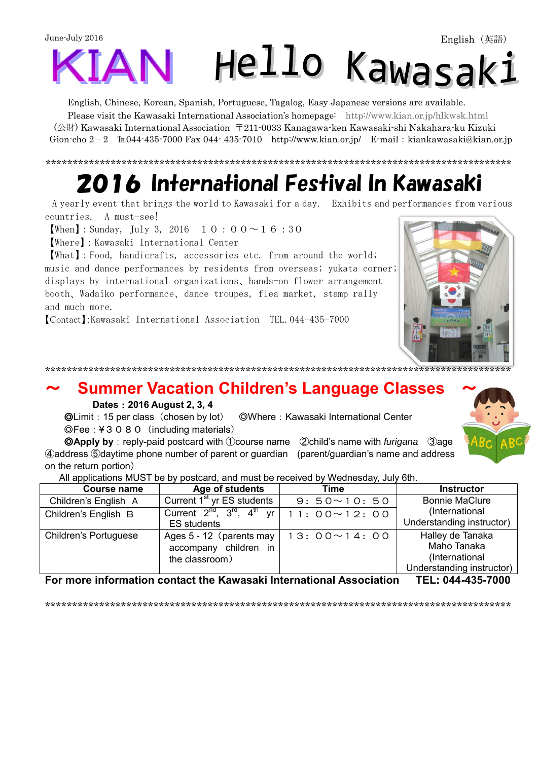June-July 2016 Hello Kawasaki

English, Chinese, Korean, Spanish, Portuguese, Tagalog, Easy Japanese versions are available.

Please visit the Kawasaki International Association's homepage: <http://www.kian.or.jp/hlkwsk.html> (公財) Kawasaki International Association 〒211-0033 Kanagawa-ken Kawasaki-shi Nakahara-ku Kizuki Gion-cho  $2-2$   $\text{It}044-435-7000$  Fax 044-  $435-7010$  <http://www.kian.or.jp/>E-mail: kiankawasaki@kian.or.jp

# 2016 International Festival In Kawasaki

\*\*\*\*\*\*\*\*\*\*\*\*\*\*\*\*\*\*\*\*\*\*\*\*\*\*\*\*\*\*\*\*\*\*\*\*\*\*\*\*\*\*\*\*\*\*\*\*\*\*\*\*\*\*\*\*\*\*\*\*\*\*\*\*\*\*\*\*\*\*\*\*\*\*\*\*\*\*\*\*\*\*\*\*\*\*

 A yearly event that brings the world to Kawasaki for a day. Exhibits and performances from various countries. A must-see!

**[When]**: Sunday, July 3, 2016  $10:00 \sim 16:30$ 

【Where】:Kawasaki International Center

【What】:Food, handicrafts, accessories etc. from around the world; music and dance performances by residents from overseas; yukata corner; displays by international organizations、hands-on flower arrangement booth、Wadaiko performance、dance troupes, flea market, stamp rally and much more.

【Contact】:Kawasaki International Association TEL.044-435-7000

#### \*\*\*\*\*\*\*\*\*\*\*\*\*\*\*\*\*\*\*\*\*\*\*\*\*\*\*\*\*\*\*\*\*\*\*\*\*\*\*\*\*\*\*\*\*\*\*\*\*\*\*\*\*\*\*\*\*\*\*\*\*\*\*\*\*\*\*\*\*\*\*\*\*\*\*\*\*\*\*\*\*\*\*\*\*\*

### ~ **Summer Vacation Children's Language Classes** ~

#### **Dates**:**2016 August 2, 3, 4**

 ◎Limit:15 per class(chosen by lot) ◎Where:Kawasaki International Center ◎Fee:¥3080(including materials)

 ◎**Apply by**:reply-paid postcard with ①course name ②child's name with *furigana* ③age ④address ⑤daytime phone number of parent or guardian (parent/guardian's name and address on the return portion)

All applications MUST be by postcard, and must be received by Wednesday, July 6th.

| Course name           | Age of students                                                     | Time               | <b>Instructor</b>                                                              |
|-----------------------|---------------------------------------------------------------------|--------------------|--------------------------------------------------------------------------------|
| Children's English A  | Current 1 <sup>st</sup> yr ES students                              | $9:50 \sim 10:50$  | <b>Bonnie MaClure</b>                                                          |
| Children's English B  | Current $2^{nd}$ , $3^{rd}$ , $4^{th}$ yr<br><b>ES</b> students     | $11:00 \sim 12:00$ | (International<br>Understanding instructor)                                    |
| Children's Portuguese | Ages 5 - 12 (parents may<br>accompany children in<br>the classroom) | $13:00 \sim 14:00$ | Halley de Tanaka<br>Maho Tanaka<br>(International<br>Understanding instructor) |

**For more information contact the Kawasaki International Association TEL: 044-435-7000**

\*\*\*\*\*\*\*\*\*\*\*\*\*\*\*\*\*\*\*\*\*\*\*\*\*\*\*\*\*\*\*\*\*\*\*\*\*\*\*\*\*\*\*\*\*\*\*\*\*\*\*\*\*\*\*\*\*\*\*\*\*\*\*\*\*\*\*\*\*\*\*\*\*\*\*\*\*\*\*\*\*\*\*\*\*\*